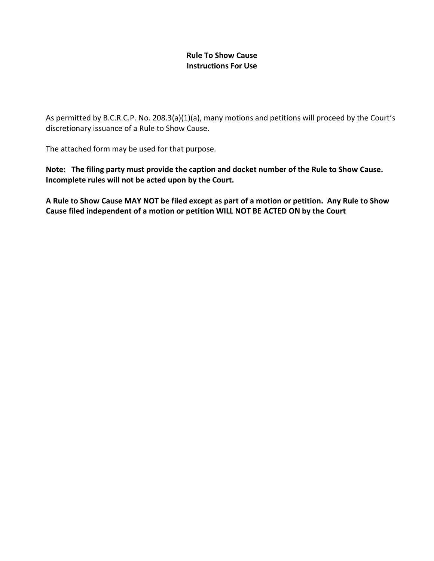### **Rule To Show Cause Instructions For Use**

As permitted by B.C.R.C.P. No. 208.3(a)(1)(a), many motions and petitions will proceed by the Court's discretionary issuance of a Rule to Show Cause.

The attached form may be used for that purpose.

**Note: The filing party must provide the caption and docket number of the Rule to Show Cause. Incomplete rules will not be acted upon by the Court.**

**A Rule to Show Cause MAY NOT be filed except as part of a motion or petition. Any Rule to Show Cause filed independent of a motion or petition WILL NOT BE ACTED ON by the Court**